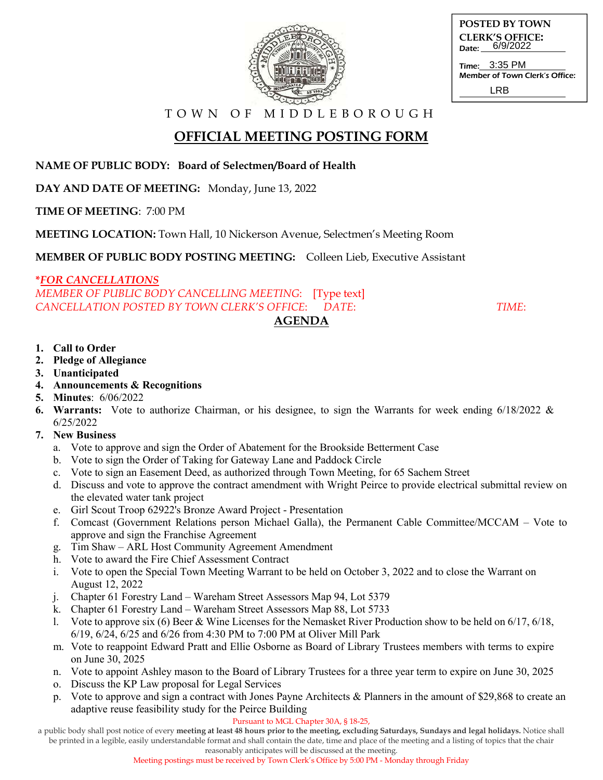

| POSTED BY TOWN         |
|------------------------|
| <b>CLERK'S OFFICE:</b> |
| Date: 6/9/2022         |
|                        |

Time: Member of Town Clerk's Office: 3:35 PM LRB

T O W N O F M I D D L E B O R O U G H

# **OFFICIAL MEETING POSTING FORM**

**NAME OF PUBLIC BODY: Board of Selectmen/Board of Health**

**DAY AND DATE OF MEETING:** Monday, June 13, 2022

**TIME OF MEETING**: 7:00 PM

**MEETING LOCATION:** Town Hall, 10 Nickerson Avenue, Selectmen's Meeting Room

**MEMBER OF PUBLIC BODY POSTING MEETING:** Colleen Lieb, Executive Assistant

## **\****FOR CANCELLATIONS*

*MEMBER OF PUBLIC BODY CANCELLING MEETING*: [Type text] *CANCELLATION POSTED BY TOWN CLERK'S OFFICE*: *DATE*: *TIME*:

### **1. Call to Order**

- **2. Pledge of Allegiance**
- **3. Unanticipated**
- **4. Announcements & Recognitions**
- **5. Minutes**: 6/06/2022
- **6. Warrants:** Vote to authorize Chairman, or his designee, to sign the Warrants for week ending 6/18/2022 & 6/25/2022

**AGENDA** 

- **7. New Business**
	- a. Vote to approve and sign the Order of Abatement for the Brookside Betterment Case
	- b. Vote to sign the Order of Taking for Gateway Lane and Paddock Circle
	- c. Vote to sign an Easement Deed, as authorized through Town Meeting, for 65 Sachem Street
	- d. Discuss and vote to approve the contract amendment with Wright Peirce to provide electrical submittal review on the elevated water tank project
	- e. Girl Scout Troop 62922's Bronze Award Project Presentation
	- f. Comcast (Government Relations person Michael Galla), the Permanent Cable Committee/MCCAM Vote to approve and sign the Franchise Agreement
	- g. Tim Shaw ARL Host Community Agreement Amendment
	- h. Vote to award the Fire Chief Assessment Contract
	- i. Vote to open the Special Town Meeting Warrant to be held on October 3, 2022 and to close the Warrant on August 12, 2022
	- j. Chapter 61 Forestry Land Wareham Street Assessors Map 94, Lot 5379
	- k. Chapter 61 Forestry Land Wareham Street Assessors Map 88, Lot 5733
	- l. Vote to approve six (6) Beer & Wine Licenses for the Nemasket River Production show to be held on 6/17, 6/18, 6/19, 6/24, 6/25 and 6/26 from 4:30 PM to 7:00 PM at Oliver Mill Park
	- m. Vote to reappoint Edward Pratt and Ellie Osborne as Board of Library Trustees members with terms to expire on June 30, 2025
	- n. Vote to appoint Ashley mason to the Board of Library Trustees for a three year term to expire on June 30, 2025
	- o. Discuss the KP Law proposal for Legal Services
	- p. Vote to approve and sign a contract with Jones Payne Architects & Planners in the amount of \$29,868 to create an adaptive reuse feasibility study for the Peirce Building

#### Pursuant to MGL Chapter 30A, § 18-25,

a public body shall post notice of every **meeting at least 48 hours prior to the meeting, excluding Saturdays, Sundays and legal holidays.** Notice shall be printed in a legible, easily understandable format and shall contain the date, time and place of the meeting and a listing of topics that the chair